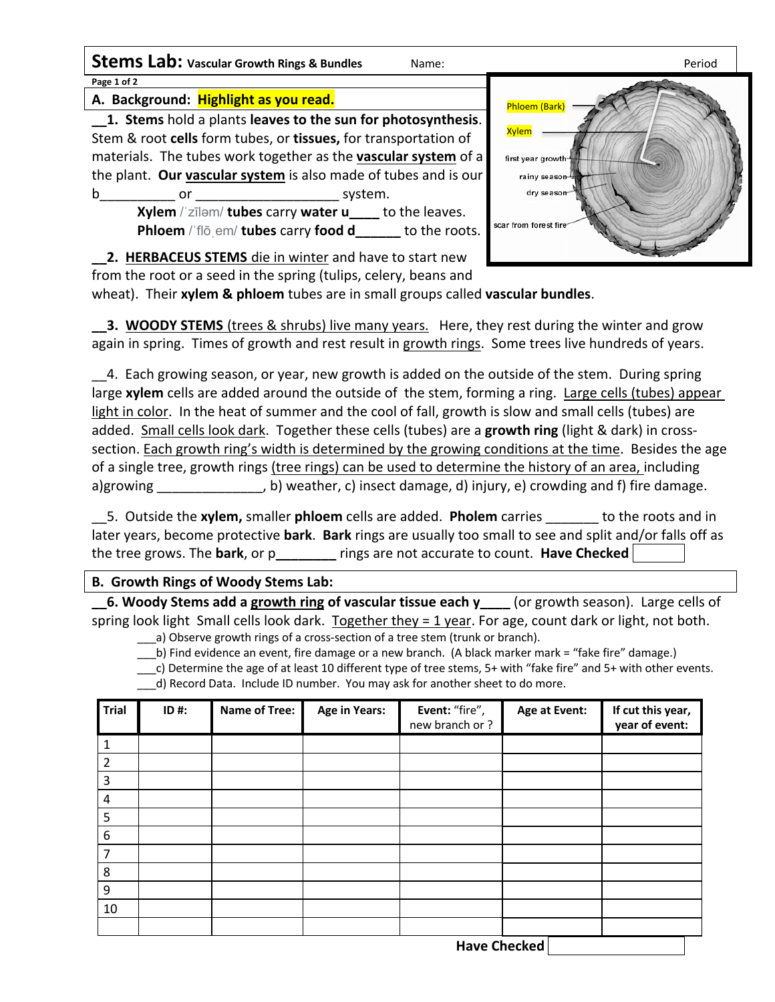**Stems Lab:** vascular Growth Rings & Bundles Name: Name: Period **Page 1 of 2**

**A. Background: Highlight as you read.**

**\_\_1. Stems** hold a plants **leaves to the sun for photosynthesis**. Stem & root **cells** form tubes, or **tissues,** for transportation of materials. The tubes work together as the **vascular system** of a the plant. **Our vascular system** is also made of tubes and is our b or or system.

> **Xylem** /ˈzīləm/ **tubes** carry **water u\_\_\_\_** to the leaves. **Phloem** / 'flō em/ **tubes** carry **food d** to the roots.



**\_\_2. HERBACEUS STEMS** die in winter and have to start new from the root or a seed in the spring (tulips, celery, beans and

wheat). Their **xylem & phloem** tubes are in small groups called **vascular bundles**.

**\_3. WOODY STEMS** (trees & shrubs) live many years. Here, they rest during the winter and grow again in spring. Times of growth and rest result in growth rings. Some trees live hundreds of years.

\_\_4. Each growing season, or year, new growth is added on the outside of the stem. During spring large **xylem** cells are added around the outside of the stem, forming a ring. Large cells (tubes) appear light in color. In the heat of summer and the cool of fall, growth is slow and small cells (tubes) are added. Small cells look dark. Together these cells (tubes) are a **growth ring** (light & dark) in crosssection. Each growth ring's width is determined by the growing conditions at the time. Besides the age of a single tree, growth rings (tree rings) can be used to determine the history of an area, including a)growing b) weather, c) insect damage, d) injury, e) crowding and f) fire damage.

\_\_5. Outside the **xylem,** smaller **phloem** cells are added. **Pholem** carries \_\_\_\_\_\_\_ to the roots and in later years, become protective **bark**. **Bark** rings are usually too small to see and split and/or falls off as the tree grows. The **bark**, or p**\_\_\_\_\_\_\_\_** rings are not accurate to count. **Have Checked** 

### **B. Growth Rings of Woody Stems Lab:**

**\_\_6. Woody Stems add a growth ring of vascular tissue each y\_\_\_\_** (or growth season). Large cells of spring look light Small cells look dark. Together they = 1 year. For age, count dark or light, not both.

a) Observe growth rings of a cross-section of a tree stem (trunk or branch). \_\_\_b) Find evidence an event, fire damage or a new branch. (A black marker mark = "fake fire" damage.)

\_\_\_c) Determine the age of at least 10 different type of tree stems, 5+ with "fake fire" and 5+ with other events. \_\_\_d) Record Data. Include ID number. You may ask for another sheet to do more.

| <b>Trial</b>   | $ID$ #: | <b>Name of Tree:</b> | <b>Age in Years:</b> | Event: "fire",<br>new branch or? | Age at Event: | If cut this year,<br>year of event: |
|----------------|---------|----------------------|----------------------|----------------------------------|---------------|-------------------------------------|
|                |         |                      |                      |                                  |               |                                     |
| $\overline{2}$ |         |                      |                      |                                  |               |                                     |
| 3              |         |                      |                      |                                  |               |                                     |
| 4              |         |                      |                      |                                  |               |                                     |
| 5              |         |                      |                      |                                  |               |                                     |
| 6              |         |                      |                      |                                  |               |                                     |
| 7              |         |                      |                      |                                  |               |                                     |
| 8              |         |                      |                      |                                  |               |                                     |
| 9              |         |                      |                      |                                  |               |                                     |
| 10             |         |                      |                      |                                  |               |                                     |
|                |         |                      |                      |                                  |               |                                     |